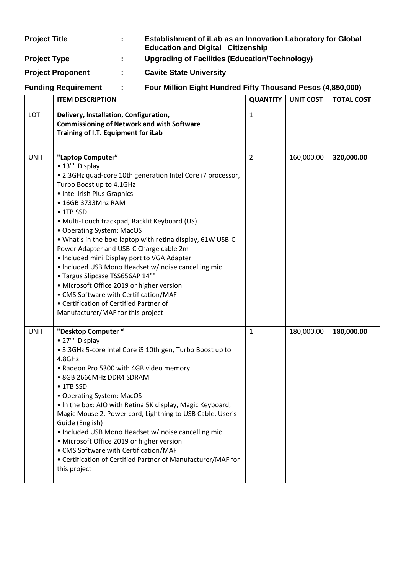| <b>Project Title</b>       | $\mathbb{R}^{\mathbb{Z}}$ | Establishment of iLab as an Innovation Laboratory for Global<br><b>Education and Digital Citizenship</b> |
|----------------------------|---------------------------|----------------------------------------------------------------------------------------------------------|
| <b>Project Type</b>        | ÷                         | Upgrading of Facilities (Education/Technology)                                                           |
| <b>Project Proponent</b>   | t.                        | <b>Cavite State University</b>                                                                           |
| <b>Funding Requirement</b> | $\mathbf{L}$              | Four Million Eight Hundred Fifty Thousand Pesos (4,850,000)                                              |

|             | <b>ITEM DESCRIPTION</b>                                                                                                                                                                                                                                                                                                                                                                                                                                                                                                                                                                                                                                                                                        | <b>QUANTITY</b> | <b>UNIT COST</b> | <b>TOTAL COST</b> |
|-------------|----------------------------------------------------------------------------------------------------------------------------------------------------------------------------------------------------------------------------------------------------------------------------------------------------------------------------------------------------------------------------------------------------------------------------------------------------------------------------------------------------------------------------------------------------------------------------------------------------------------------------------------------------------------------------------------------------------------|-----------------|------------------|-------------------|
| LOT         | Delivery, Installation, Configuration,<br><b>Commissioning of Network and with Software</b><br>Training of I.T. Equipment for iLab                                                                                                                                                                                                                                                                                                                                                                                                                                                                                                                                                                             | $\mathbf{1}$    |                  |                   |
| <b>UNIT</b> | "Laptop Computer"<br>• 13"" Display<br>• 2.3GHz quad-core 10th generation Intel Core i7 processor,<br>Turbo Boost up to 4.1GHz<br>• Intel Irish Plus Graphics<br>• 16GB 3733Mhz RAM<br>$\bullet$ 1TB SSD<br>· Multi-Touch trackpad, Backlit Keyboard (US)<br>• Operating System: MacOS<br>. What's in the box: laptop with retina display, 61W USB-C<br>Power Adapter and USB-C Charge cable 2m<br>• Included mini Display port to VGA Adapter<br>• Included USB Mono Headset w/ noise cancelling mic<br>• Targus Slipcase TSS656AP 14""<br>• Microsoft Office 2019 or higher version<br>• CMS Software with Certification/MAF<br>• Certification of Certified Partner of<br>Manufacturer/MAF for this project | $\overline{2}$  | 160,000.00       | 320,000.00        |
| <b>UNIT</b> | "Desktop Computer "<br>• 27"" Display<br>• 3.3GHz 5-core Intel Core i5 10th gen, Turbo Boost up to<br>4.8GHz<br>• Radeon Pro 5300 with 4GB video memory<br>• 8GB 2666MHz DDR4 SDRAM<br>$\bullet$ 1TB SSD<br>• Operating System: MacOS<br>• In the box: AIO with Retina 5K display, Magic Keyboard,<br>Magic Mouse 2, Power cord, Lightning to USB Cable, User's<br>Guide (English)<br>. Included USB Mono Headset w/ noise cancelling mic<br>· Microsoft Office 2019 or higher version<br>• CMS Software with Certification/MAF<br>• Certification of Certified Partner of Manufacturer/MAF for<br>this project                                                                                                | $\mathbf{1}$    | 180,000.00       | 180,000.00        |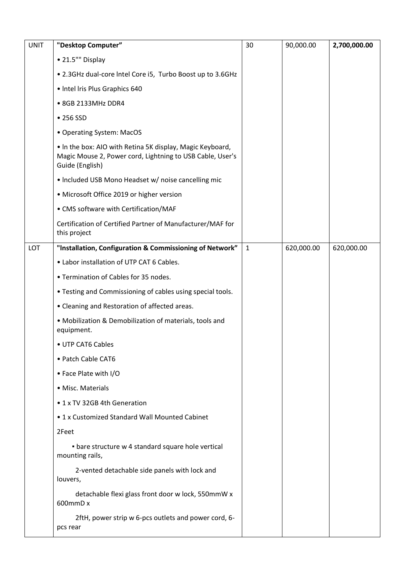| <b>UNIT</b> | "Desktop Computer"                                                                                                                        | 30           | 90,000.00  | 2,700,000.00 |
|-------------|-------------------------------------------------------------------------------------------------------------------------------------------|--------------|------------|--------------|
|             | • 21.5"" Display                                                                                                                          |              |            |              |
|             | • 2.3GHz dual-core Intel Core i5, Turbo Boost up to 3.6GHz                                                                                |              |            |              |
|             | • Intel Iris Plus Graphics 640                                                                                                            |              |            |              |
|             | • 8GB 2133MHz DDR4                                                                                                                        |              |            |              |
|             | • 256 SSD                                                                                                                                 |              |            |              |
|             | • Operating System: MacOS                                                                                                                 |              |            |              |
|             | . In the box: AIO with Retina 5K display, Magic Keyboard,<br>Magic Mouse 2, Power cord, Lightning to USB Cable, User's<br>Guide (English) |              |            |              |
|             | • Included USB Mono Headset w/ noise cancelling mic                                                                                       |              |            |              |
|             | • Microsoft Office 2019 or higher version                                                                                                 |              |            |              |
|             | • CMS software with Certification/MAF                                                                                                     |              |            |              |
|             | Certification of Certified Partner of Manufacturer/MAF for<br>this project                                                                |              |            |              |
| LOT         | "Installation, Configuration & Commissioning of Network"                                                                                  | $\mathbf{1}$ | 620,000.00 | 620,000.00   |
|             | • Labor installation of UTP CAT 6 Cables.                                                                                                 |              |            |              |
|             | • Termination of Cables for 35 nodes.                                                                                                     |              |            |              |
|             | . Testing and Commissioning of cables using special tools.                                                                                |              |            |              |
|             | • Cleaning and Restoration of affected areas.                                                                                             |              |            |              |
|             | • Mobilization & Demobilization of materials, tools and<br>equipment.                                                                     |              |            |              |
|             | • UTP CAT6 Cables                                                                                                                         |              |            |              |
|             | • Patch Cable CAT6                                                                                                                        |              |            |              |
|             | • Face Plate with I/O                                                                                                                     |              |            |              |
|             | · Misc. Materials                                                                                                                         |              |            |              |
|             | • 1 x TV 32GB 4th Generation                                                                                                              |              |            |              |
|             | • 1 x Customized Standard Wall Mounted Cabinet                                                                                            |              |            |              |
|             | 2Feet                                                                                                                                     |              |            |              |
|             | • bare structure w 4 standard square hole vertical<br>mounting rails,                                                                     |              |            |              |
|             | 2-vented detachable side panels with lock and<br>louvers,                                                                                 |              |            |              |
|             | detachable flexi glass front door w lock, 550mmW x<br>600mmD x                                                                            |              |            |              |
|             | 2ftH, power strip w 6-pcs outlets and power cord, 6-<br>pcs rear                                                                          |              |            |              |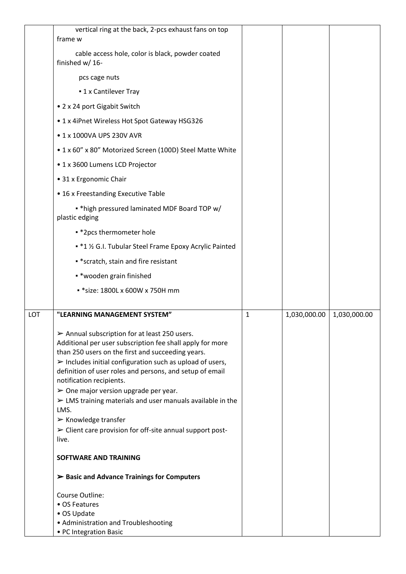|     | vertical ring at the back, 2-pcs exhaust fans on top<br>frame w                                                                                                                                                                                                                                                                                                                                                                                                                                |              |              |              |
|-----|------------------------------------------------------------------------------------------------------------------------------------------------------------------------------------------------------------------------------------------------------------------------------------------------------------------------------------------------------------------------------------------------------------------------------------------------------------------------------------------------|--------------|--------------|--------------|
|     |                                                                                                                                                                                                                                                                                                                                                                                                                                                                                                |              |              |              |
|     | cable access hole, color is black, powder coated<br>finished w/ 16-                                                                                                                                                                                                                                                                                                                                                                                                                            |              |              |              |
|     | pcs cage nuts                                                                                                                                                                                                                                                                                                                                                                                                                                                                                  |              |              |              |
|     | <b>- 1 x Cantilever Tray</b>                                                                                                                                                                                                                                                                                                                                                                                                                                                                   |              |              |              |
|     | • 2 x 24 port Gigabit Switch                                                                                                                                                                                                                                                                                                                                                                                                                                                                   |              |              |              |
|     | • 1 x 4iPnet Wireless Hot Spot Gateway HSG326                                                                                                                                                                                                                                                                                                                                                                                                                                                  |              |              |              |
|     | • 1 x 1000VA UPS 230V AVR                                                                                                                                                                                                                                                                                                                                                                                                                                                                      |              |              |              |
|     | • 1 x 60" x 80" Motorized Screen (100D) Steel Matte White                                                                                                                                                                                                                                                                                                                                                                                                                                      |              |              |              |
|     | • 1 x 3600 Lumens LCD Projector                                                                                                                                                                                                                                                                                                                                                                                                                                                                |              |              |              |
|     | • 31 x Ergonomic Chair                                                                                                                                                                                                                                                                                                                                                                                                                                                                         |              |              |              |
|     | • 16 x Freestanding Executive Table                                                                                                                                                                                                                                                                                                                                                                                                                                                            |              |              |              |
|     | * * high pressured laminated MDF Board TOP w/<br>plastic edging                                                                                                                                                                                                                                                                                                                                                                                                                                |              |              |              |
|     | • *2pcs thermometer hole                                                                                                                                                                                                                                                                                                                                                                                                                                                                       |              |              |              |
|     | • *1 1/2 G.I. Tubular Steel Frame Epoxy Acrylic Painted                                                                                                                                                                                                                                                                                                                                                                                                                                        |              |              |              |
|     | * * scratch, stain and fire resistant                                                                                                                                                                                                                                                                                                                                                                                                                                                          |              |              |              |
|     | • * wooden grain finished                                                                                                                                                                                                                                                                                                                                                                                                                                                                      |              |              |              |
|     | * * size: 1800L x 600W x 750H mm                                                                                                                                                                                                                                                                                                                                                                                                                                                               |              |              |              |
|     |                                                                                                                                                                                                                                                                                                                                                                                                                                                                                                |              |              |              |
| LOT | "LEARNING MANAGEMENT SYSTEM"                                                                                                                                                                                                                                                                                                                                                                                                                                                                   | $\mathbf{1}$ | 1,030,000.00 | 1,030,000.00 |
|     | $\triangleright$ Annual subscription for at least 250 users.<br>Additional per user subscription fee shall apply for more                                                                                                                                                                                                                                                                                                                                                                      |              |              |              |
|     | than 250 users on the first and succeeding years.<br>$\triangleright$ Includes initial configuration such as upload of users,<br>definition of user roles and persons, and setup of email<br>notification recipients.<br>$\triangleright$ One major version upgrade per year.<br>$\triangleright$ LMS training materials and user manuals available in the<br>LMS.<br>$\triangleright$ Knowledge transfer<br>$\triangleright$ Client care provision for off-site annual support post-<br>live. |              |              |              |
|     | SOFTWARE AND TRAINING                                                                                                                                                                                                                                                                                                                                                                                                                                                                          |              |              |              |
|     | $\triangleright$ Basic and Advance Trainings for Computers                                                                                                                                                                                                                                                                                                                                                                                                                                     |              |              |              |
|     | Course Outline:                                                                                                                                                                                                                                                                                                                                                                                                                                                                                |              |              |              |
|     | • OS Features                                                                                                                                                                                                                                                                                                                                                                                                                                                                                  |              |              |              |
|     | • OS Update<br>• Administration and Troubleshooting                                                                                                                                                                                                                                                                                                                                                                                                                                            |              |              |              |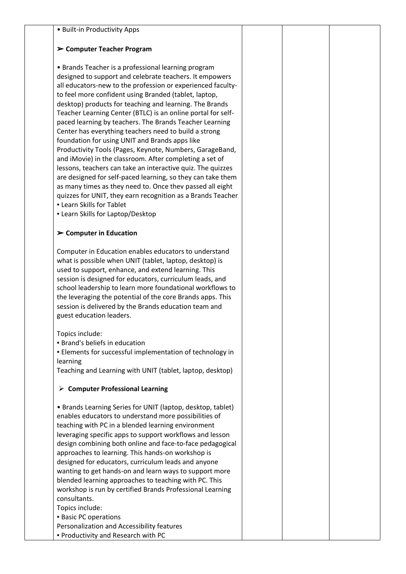|  |  |  | · Built-in Productivity Apps |  |
|--|--|--|------------------------------|--|
|--|--|--|------------------------------|--|

## ➢ **Computer Teacher Program**

• Brands Teacher is a professional learning program designed to support and celebrate teachers. It empowers all educators-new to the profession or experienced facultyto feel more confident using Branded (tablet, laptop, desktop) products for teaching and learning. The Brands Teacher Learning Center (BTLC) is an online portal for selfpaced learning by teachers. The Brands Teacher Learning Center has everything teachers need to build a strong foundation for using UNIT and Brands apps like Productivity Tools (Pages, Keynote, Numbers, GarageBand, and iMovie) in the classroom. After completing a set of lessons, teachers can take an interactive quiz. The quizzes are designed for self-paced learning, so they can take them as many times as they need to. Once thev passed all eight quizzes for UNIT, they earn recognition as a Brands Teacher **.** Learn Skills for Tablet

**.** Learn Skills for Laptop/Desktop

## ➢ **Computer in Education**

Computer in Education enables educators to understand what is possible when UNIT (tablet, laptop, desktop) is used to support, enhance, and extend learning. This session is designed for educators, curriculum leads, and school leadership to learn more foundational workflows to the leveraging the potential of the core Brands apps. This session is delivered by the Brands education team and guest education leaders.

Topics include:

**• Brand's beliefs in education** 

▪ Elements for successful implementation of technology in learning

Teaching and Learning with UNIT (tablet, laptop, desktop)

## ➢ **Computer Professional Learning**

• Brands Learning Series for UNIT (laptop, desktop, tablet) enables educators to understand more possibilities of teaching with PC in a blended learning environment leveraging specific apps to support workflows and lesson design combining both online and face-to-face pedagogical approaches to learning. This hands-on workshop is designed for educators, curriculum leads and anyone wanting to get hands-on and learn ways to support more blended learning approaches to teaching with PC. This workshop is run by certified Brands Professional Learning consultants. Topics include:

- Basic PC operations
- Personalization and Accessibility features

▪ Productivity and Research with PC